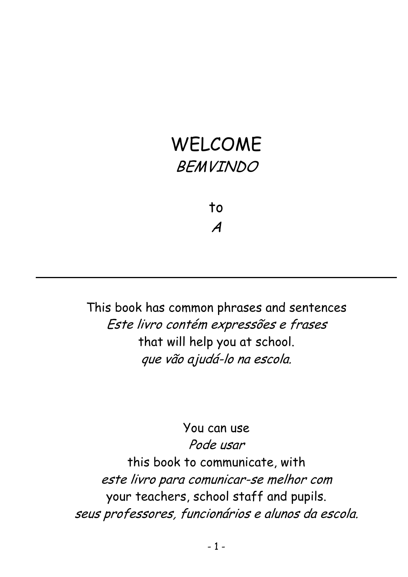# WELCOME BEMVINDO

to A

This book has common phrases and sentences Este livro contém expressões e frases that will help you at school. que vão ajudá-lo na escola.

#### You can use

Pode usar this book to communicate, with este livro para comunicar-se melhor com your teachers, school staff and pupils. seus professores, funcionários e alunos da escola.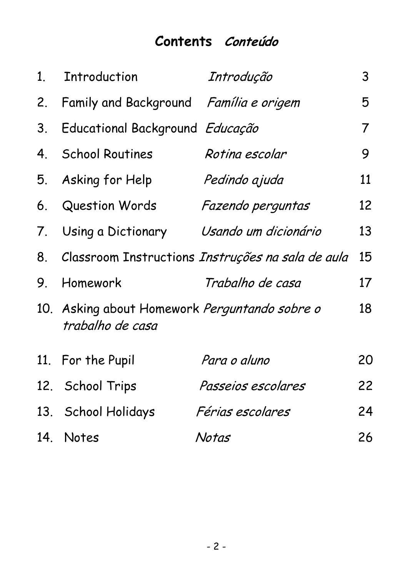#### **Contents Conteúdo**

| $1_{\cdot}$ | Introduction                                                      | Introdução                                           | 3  |
|-------------|-------------------------------------------------------------------|------------------------------------------------------|----|
| 2.          | Family and Background Família e origem                            |                                                      | 5  |
| 3.          | Educational Background Educação                                   |                                                      | 7  |
| 4.          | <b>School Routines</b>                                            | Rotina escolar                                       | 9  |
|             | 5. Asking for Help                                                | Pedindo ajuda                                        | 11 |
|             | 6. Question Words                                                 | Fazendo perguntas                                    | 12 |
|             | 7. Using a Dictionary                                             | Usando um dicionário                                 | 13 |
|             |                                                                   | 8. Classroom Instructions Instruções na sala de aula | 15 |
| 9.          | Homework                                                          | Trabalho de casa                                     | 17 |
|             | 10. Asking about Homework Perguntando sobre o<br>trabalho de casa |                                                      | 18 |
|             | 11. For the Pupil                                                 | Para o aluno                                         | 20 |
|             | 12. School Trips                                                  | Passeios escolares                                   | 22 |
|             | 13. School Holidays                                               | <i>Férias escolares</i>                              | 24 |
|             | 14. Notes                                                         | Notas                                                | 26 |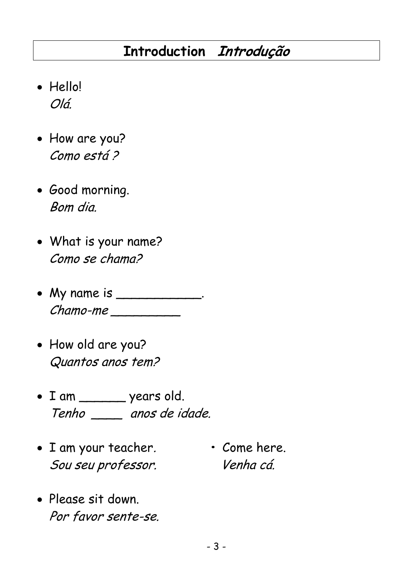### **Introduction Introdução**

- Hello! Olá.
- How are you? Como está ?
- Good morning. Bom dia.
- What is your name? Como se chama?
- My name is \_\_\_\_\_\_\_\_\_\_\_. Chamo-me \_\_\_\_\_\_\_\_\_
- How old are you? Quantos anos tem?
- I am \_\_\_\_\_\_ years old. Tenho \_\_\_\_ anos de idade.
- I am your teacher. Come here. Sou seu professor. Venha cá.
- 
- Please sit down. Por favor sente-se.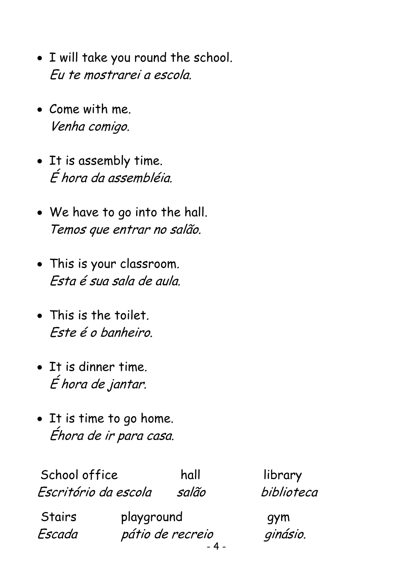- I will take you round the school. Eu te mostrarei a escola.
- Come with me. Venha comigo.
- It is assembly time. É hora da assembléia.
- We have to go into the hall. Temos que entrar no salão.
- This is your classroom. Esta é sua sala de aula.
- This is the toilet. Este é o banheiro.
- It is dinner time. É hora de jantar.
- It is time to go home. Éhora de ir para casa.

School office hall hall hibrary Escritório da escola salão biblioteca

- 4 - Stairs playground gym Escada pátio de recreio ginásio.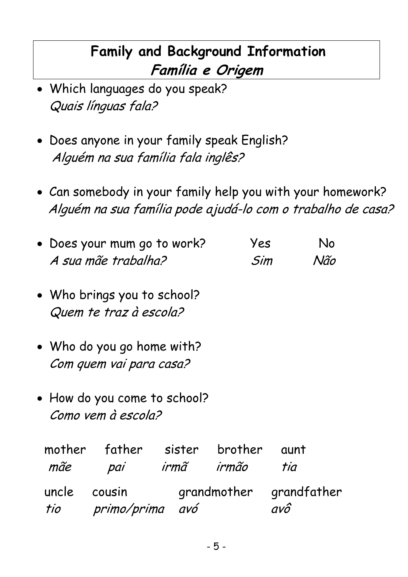## **Family and Background Information Família e Origem**

- Which languages do you speak? Quais línguas fala?
- Does anyone in your family speak English? Alguém na sua família fala inglês?
- Can somebody in your family help you with your homework? Alguém na sua família pode ajudá-lo com o trabalho de casa?

|              | • Does your mum go to work?<br>A sua mãe trabalha?    |            | Yes<br>Sim              |             | No<br>Não |
|--------------|-------------------------------------------------------|------------|-------------------------|-------------|-----------|
|              | • Who brings you to school?<br>Quem te traz à escola? |            |                         |             |           |
|              | • Who do you go home with?<br>Com quem vai para casa? |            |                         |             |           |
|              | • How do you come to school?<br>Como vem à escola?    |            |                         |             |           |
| mãe          | mother father sister brother<br>pai                   | irmã irmão |                         | aunt<br>tia |           |
| uncle cousin | tio primo/prima avó                                   |            | grandmother grandfather | avô         |           |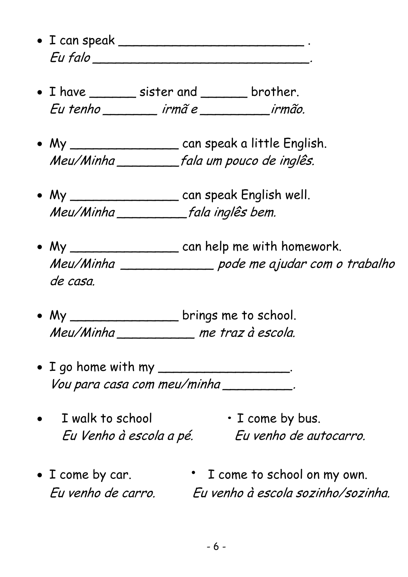- I can speak \_\_\_\_\_\_\_\_\_\_\_\_\_\_\_\_\_\_\_\_\_\_\_\_ . Eu falo \_\_\_\_\_\_\_\_\_\_\_\_\_\_\_\_\_\_\_\_\_\_\_\_\_\_\_\_.
- I have sister and strategies brother. Eu tenho \_\_\_\_\_\_\_ irmã e \_\_\_\_\_\_\_\_\_irmão.
- My \_\_\_\_\_\_\_\_\_\_\_\_\_\_ can speak a little English. Meu/Minha \_\_\_\_\_\_\_\_fala um pouco de inglês.
- My \_\_\_\_\_\_\_\_\_\_\_\_\_\_\_\_\_ can speak English well. Meu/Minha \_\_\_\_\_\_\_\_\_fala inglês bem.
- My \_\_\_\_\_\_\_\_\_\_\_\_\_\_\_\_\_\_ can help me with homework. Meu/Minha \_\_\_\_\_\_\_\_\_\_\_\_ pode me ajudar com o trabalho de casa.
- My \_\_\_\_\_\_\_\_\_\_\_\_\_\_\_\_\_ brings me to school. Meu/Minha \_\_\_\_\_\_\_\_\_\_ me traz à escola.
- I go home with my \_\_\_\_\_\_\_\_\_\_\_\_\_\_\_\_. Vou para casa com meu/minha \_\_\_\_\_\_\_\_\_.
- I walk to school  $\cdot$  I come by bus.

Eu Venho à escola a pé. Eu venho de autocarro.

• I come by car. • I come to school on my own. Eu venho de carro. Eu venho à escola sozinho/sozinha.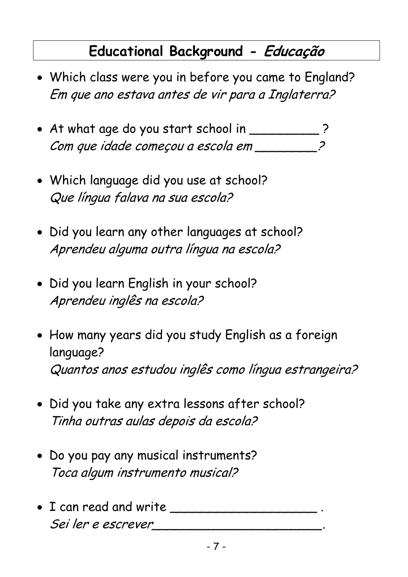### **Educational Background - Educação**

- Which class were you in before you came to England? Em que ano estava antes de vir para a Inglaterra?
- At what age do you start school in \_\_\_\_\_\_\_\_\_\_ ? Com que idade começou a escola em \_\_\_\_\_\_\_\_\_
- Which language did you use at school? Que língua falava na sua escola?
- Did you learn any other languages at school? Aprendeu alguma outra língua na escola?
- Did you learn English in your school? Aprendeu inglês na escola?
- How many years did you study English as a foreign language? Quantos anos estudou inglês como língua estrangeira?
- Did you take any extra lessons after school? Tinha outras aulas depois da escola?
- Do you pay any musical instruments? Toca algum instrumento musical?
- I can read and write \_\_\_\_\_\_\_\_\_\_\_\_\_\_\_\_\_\_\_ . Sei ler e escrever\_\_\_\_\_\_\_\_\_\_\_\_\_\_\_\_\_\_\_\_\_\_.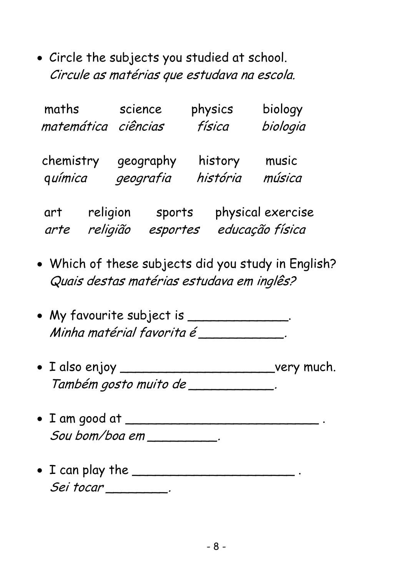• Circle the subjects you studied at school. Circule as matérias que estudava na escola.

| maths<br>matemática |                      | science<br>ciências |                    | physics<br>física | biology<br>biologia                  |
|---------------------|----------------------|---------------------|--------------------|-------------------|--------------------------------------|
| chemistry           |                      |                     | geography          | history           | music                                |
| química             |                      |                     | geografia          | história          | música                               |
| art<br>arte         | religion<br>religião |                     | sports<br>esportes |                   | physical exercise<br>educação física |

- Which of these subjects did you study in English? Quais destas matérias estudava em inglês?
- My favourite subject is \_\_\_\_\_\_\_\_\_\_\_\_\_. Minha matérial favorita é \_\_\_\_\_\_\_\_\_\_\_\_.
- I also enjoy \_\_\_\_\_\_\_\_\_\_\_\_\_\_\_\_\_\_\_\_\_\_\_\_\_\_\_very much. Também gosto muito de \_\_\_\_\_\_\_\_\_\_\_\_\_.
- I am good at \_\_\_\_\_\_\_\_\_\_\_\_\_\_\_\_\_\_\_\_\_\_\_\_\_ .  $S$ ou bom/boa em  $\_\_\_\_\_\_\_\_\_\_\_\,.$
- I can play the \_\_\_\_\_\_\_\_\_\_\_\_\_\_\_\_\_\_\_\_\_ . Sei tocar \_\_\_\_\_\_\_\_.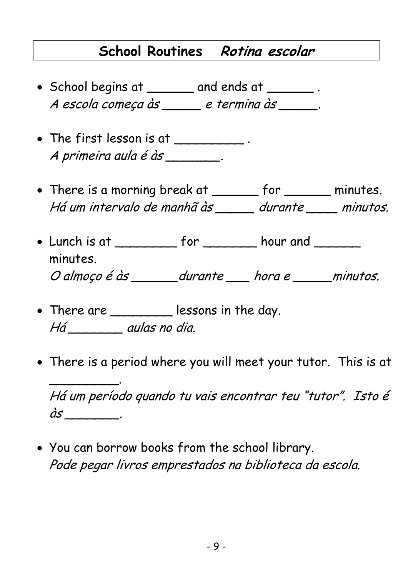### **School Routines Rotina escolar**

- School begins at \_\_\_\_\_\_ and ends at \_\_\_\_\_\_ . A escola começa às etermina às
- The first lesson is at \_\_\_\_\_\_\_\_\_\_. A primeira aula é às \_\_\_\_\_\_\_\_.
- There is a morning break at \_\_\_\_\_\_ for \_\_\_\_\_\_ minutes. Há um intervalo de manhã às durante minutos.
- Lunch is at \_\_\_\_\_\_\_\_\_\_ for \_\_\_\_\_\_\_\_ hour and \_\_\_\_\_\_\_ minutes. O almoço é às \_\_\_\_\_\_durante \_\_\_\_ hora e \_\_\_\_\_minutos.
- There are \_\_\_\_\_\_\_\_\_ lessons in the day. Há \_\_\_\_\_\_\_ aulas no dia.

 $\overline{\phantom{a}}$  . The contract of the contract of  $\overline{\phantom{a}}$ 

• There is a period where you will meet your tutor. This is at

Há um período quando tu vais encontrar teu "tutor". Isto é  $\dot{a}s$  \_\_\_\_\_\_\_\_\_\_.

• You can borrow books from the school library. Pode pegar livros emprestados na biblioteca da escola.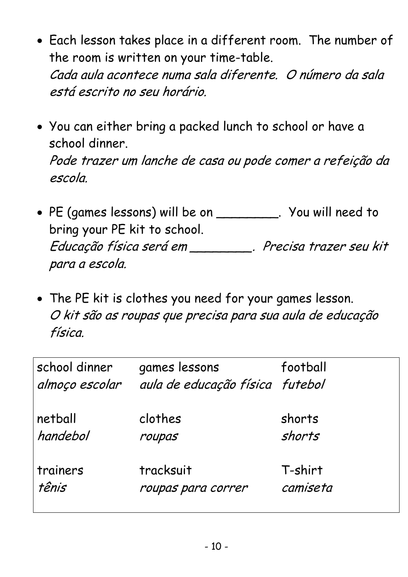- Each lesson takes place in a different room. The number of the room is written on your time-table. Cada aula acontece numa sala diferente. O número da sala está escrito no seu horário.
- You can either bring a packed lunch to school or have a school dinner. Pode trazer um lanche de casa ou pode comer a refeição da escola.
- PE (games lessons) will be on \_\_\_\_\_\_\_\_. You will need to bring your PE kit to school. Educação física será em \_\_\_\_\_\_\_\_. Precisa trazer seu kit para a escola.
- The PE kit is clothes you need for your games lesson. O kit são as roupas que precisa para sua aula de educação física.

| school dinner<br>almoço escolar | games lessons<br>aula de educação física futebol | football |
|---------------------------------|--------------------------------------------------|----------|
| netball                         | clothes                                          | shorts   |
| handebol                        | roupas                                           | shorts   |
| trainers                        | tracksuit                                        | T-shirt  |
| tênis                           | roupas para correr                               | camiseta |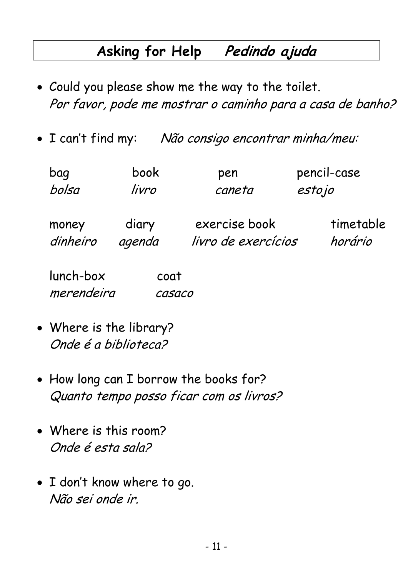### **Asking for Help Pedindo ajuda**

- Could you please show me the way to the toilet. Por favor, pode me mostrar o caminho para a casa de banho?
- I can't find my: Não consigo encontrar minha/meu:

| bag                     | book            | pen                                  | pencil-case          |
|-------------------------|-----------------|--------------------------------------|----------------------|
| bolsa                   | livro           | caneta                               | estojo               |
| money<br>dinheiro       | diary<br>agenda | exercise book<br>livro de exercícios | timetable<br>horário |
| lunch-box<br>merendeira | coat<br>casaco  |                                      |                      |

- Where is the library? Onde é a biblioteca?
- How long can I borrow the books for? Quanto tempo posso ficar com os livros?
- Where is this room? Onde é esta sala?
- I don't know where to go. Não sei onde ir.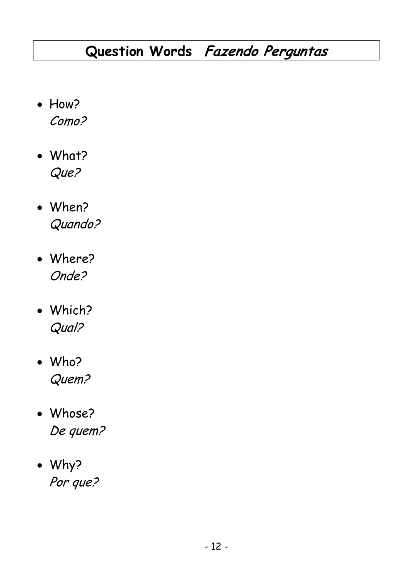## **Question Words Fazendo Perguntas**

- How? Como?
- What? Que?
- When? Quando?
- Where? Onde?
- Which? Qual?
- Who? Quem?
- Whose? De quem?
- Why? Por que?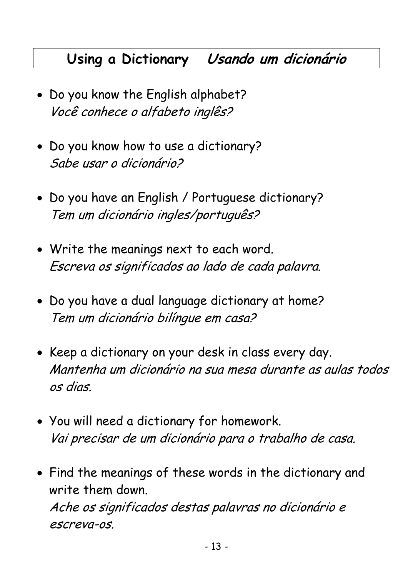### **Using a Dictionary Usando um dicionário**

- Do you know the English alphabet? Você conhece o alfabeto inglês?
- Do you know how to use a dictionary? Sabe usar o dicionário?
- Do you have an English / Portuguese dictionary? Tem um dicionário ingles/português?
- Write the meanings next to each word. Escreva os significados ao lado de cada palavra.
- Do you have a dual language dictionary at home? Tem um dicionário bilíngue em casa?
- Keep a dictionary on your desk in class every day. Mantenha um dicionário na sua mesa durante as aulas todos os dias.
- You will need a dictionary for homework. Vai precisar de um dicionário para o trabalho de casa.
- Find the meanings of these words in the dictionary and write them down. Ache os significados destas palavras no dicionário e escreva-os.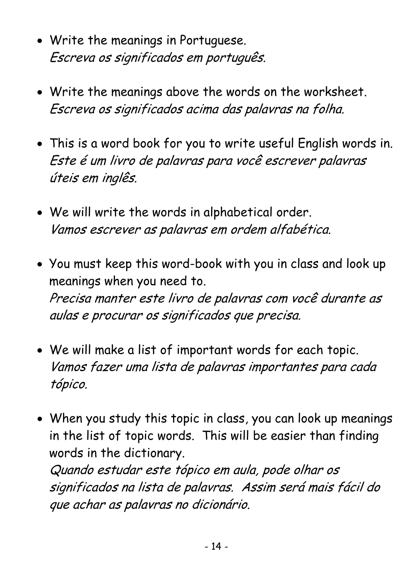- Write the meanings in Portuguese. Escreva os significados em português.
- Write the meanings above the words on the worksheet. Escreva os significados acima das palavras na folha.
- This is a word book for you to write useful English words in. Este é um livro de palavras para você escrever palavras úteis em inglês.
- We will write the words in alphabetical order. Vamos escrever as palavras em ordem alfabética.
- You must keep this word-book with you in class and look up meanings when you need to. Precisa manter este livro de palavras com você durante as aulas e procurar os significados que precisa.
- We will make a list of important words for each topic. Vamos fazer uma lista de palavras importantes para cada tópico.
- When you study this topic in class, you can look up meanings in the list of topic words. This will be easier than finding words in the dictionary.

Quando estudar este tópico em aula, pode olhar os significados na lista de palavras. Assim será mais fácil do que achar as palavras no dicionário.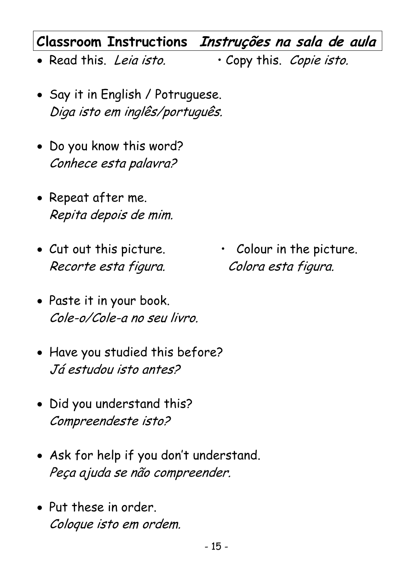### **Classroom Instructions Instruções na sala de aula**

- Read this. Leia isto. Copy this. Copie isto.
- Say it in English / Potruguese. Diga isto em inglês/português.
- Do you know this word? Conhece esta palavra?
- Repeat after me. Repita depois de mim.
- Recorte esta figura. Colora esta figura.
- Paste it in your book. Cole-o/Cole-a no seu livro.
- Have you studied this before? Já estudou isto antes?
- Did you understand this? Compreendeste isto?
- Ask for help if you don't understand. Peça ajuda se não compreender.
- Put these in order. Coloque isto em ordem.

• Cut out this picture. • Colour in the picture.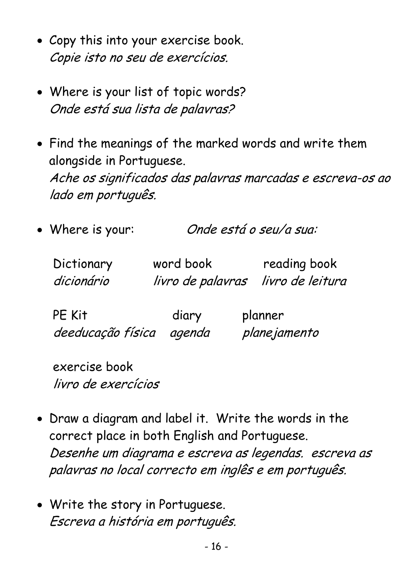- Copy this into your exercise book. Copie isto no seu de exercícios.
- Where is your list of topic words? Onde está sua lista de palavras?
- Find the meanings of the marked words and write them alongside in Portuguese. Ache os significados das palavras marcadas e escreva-os ao lado em português.
- Where is your: Onde está o seu/a sua:
	- Dictionary word book reading book dicionário livro de palavras livro de leitura

| PE Kit                   | diary | planner      |
|--------------------------|-------|--------------|
| deeducação física agenda |       | planejamento |

exercise book livro de exercícios

- Draw a diagram and label it. Write the words in the correct place in both English and Portuguese. Desenhe um diagrama e escreva as legendas. escreva as palavras no local correcto em inglês e em português.
- Write the story in Portuguese. Escreva a história em português.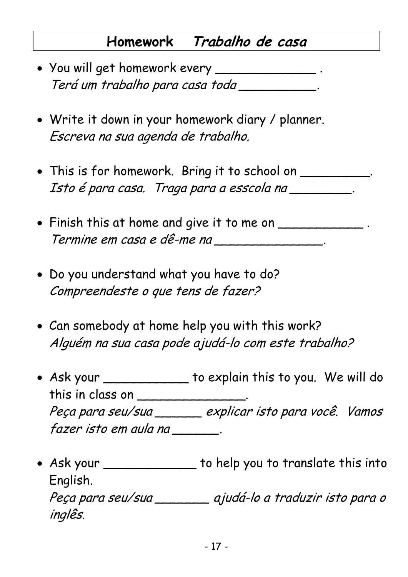### **Homework Trabalho de casa**

- You will get homework every \_\_\_\_\_\_\_\_\_\_\_\_\_\_\_. Terá um trabalho para casa toda \_\_\_\_\_\_\_\_\_\_.
- Write it down in your homework diary / planner. Escreva na sua agenda de trabalho.
- This is for homework. Bring it to school on \_\_\_\_\_\_\_\_\_\_. Isto é para casa. Traga para a esscola na \_\_\_\_\_\_\_\_\_\_.
- Finish this at home and give it to me on \_\_\_\_\_\_\_\_\_\_\_\_\_. Termine em casa e dê-me na \_\_\_\_\_\_\_\_\_\_\_\_\_\_\_\_.
- Do you understand what you have to do? Compreendeste o que tens de fazer?

inglês.

- Can somebody at home help you with this work? Alguém na sua casa pode ajudá-lo com este trabalho?
- Ask your \_\_\_\_\_\_\_\_\_\_\_ to explain this to you. We will do this in class on \_\_\_\_\_\_\_\_\_\_\_\_\_\_. Peça para seu/sua \_\_\_\_\_\_ explicar isto para você. Vamos fazer isto em aula na \_\_\_\_\_\_.
- Ask your \_\_\_\_\_\_\_\_\_\_\_\_\_\_ to help you to translate this into English. Peça para seu/sua \_\_\_\_\_\_\_ ajudá-lo a traduzir isto para o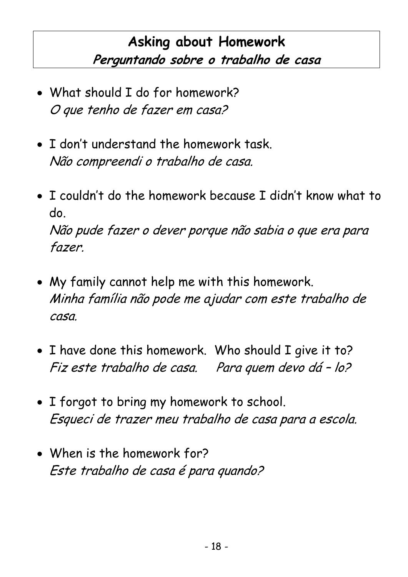## **Asking about Homework Perguntando sobre o trabalho de casa**

- What should I do for homework? O que tenho de fazer em casa?
- I don't understand the homework task. Não compreendi o trabalho de casa.
- I couldn't do the homework because I didn't know what to do. Não pude fazer o dever porque não sabia o que era para fazer.
- My family cannot help me with this homework. Minha família não pode me ajudar com este trabalho de casa.
- I have done this homework. Who should I give it to? Fiz este trabalho de casa. Para quem devo dá – lo?
- I forgot to bring my homework to school. Esqueci de trazer meu trabalho de casa para a escola.
- When is the homework for? Este trabalho de casa é para quando?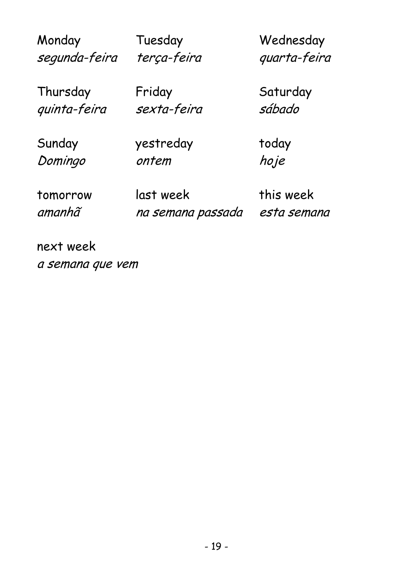| Monday        | Tuesday           | Wednesday    |
|---------------|-------------------|--------------|
| segunda-feira | terça-feira       | quarta-feira |
| Thursday      | Friday            | Saturday     |
| quinta-feira  | sexta-feira       | sábado       |
| Sunday        | yestreday         | today        |
| Domingo       | ontem             | hoje         |
| tomorrow      | last week         | this week    |
| amanhã        | na semana passada | esta semana  |

next week a semana que vem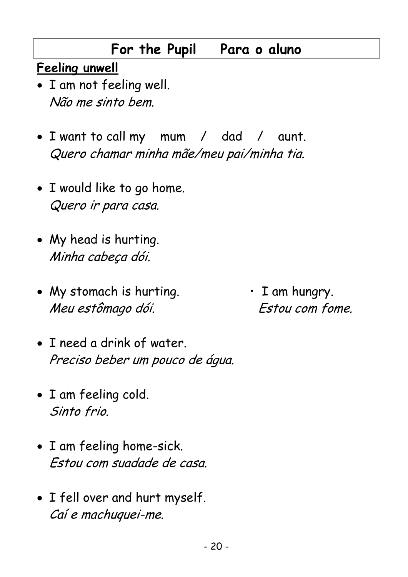### **For the Pupil Para o aluno**

#### **Feeling unwell**

- I am not feeling well. Não me sinto bem.
- I want to call my mum / dad / aunt. Quero chamar minha mãe/meu pai/minha tia.
- I would like to go home. Quero ir para casa.
- My head is hurting. Minha cabeça dói.
- My stomach is hurting.  $\cdot$  T am hungry. Meu estômago dói. Estou com fome.
- I need a drink of water. Preciso beber um pouco de água.
- I am feeling cold. Sinto frio.
- I am feeling home-sick. Estou com suadade de casa.
- I fell over and hurt myself. Caí e machuquei-me.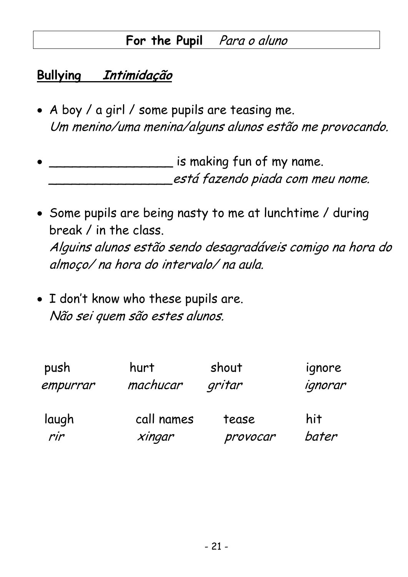#### For the Pupil Para o aluno

#### **Bullying Intimidação**

- A boy / a girl / some pupils are teasing me. Um menino/uma menina/alguns alunos estão me provocando.
- $\mathcal{L}$  is making fun of my name. \_\_\_\_\_\_\_\_\_\_\_\_\_\_\_\_está fazendo piada com meu nome.
- Some pupils are being nasty to me at lunchtime / during break / in the class. Alguins alunos estão sendo desagradáveis comigo na hora do almoço/ na hora do intervalo/ na aula.
- I don't know who these pupils are. Não sei quem são estes alunos.

| push     | hurt       | shout    | ignore  |
|----------|------------|----------|---------|
| empurrar | machucar   | gritar   | ignorar |
| laugh    | call names | tease    | hit     |
| rir      | xingar     | provocar | bater   |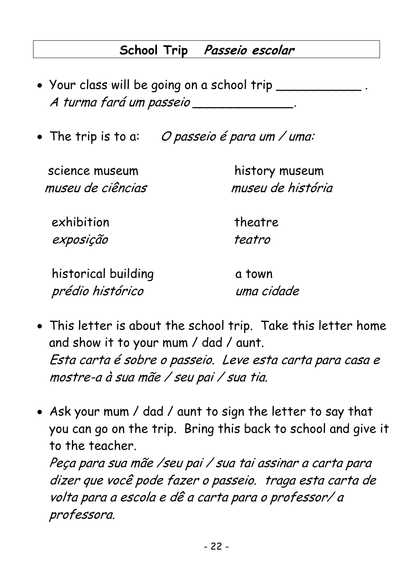#### **School Trip Passeio escolar**

- Your class will be going on a school trip \_\_\_\_\_\_\_ A turma fará um passeio \_\_\_\_\_\_\_\_\_\_\_\_\_\_.
- The trip is to a: O passeio é para um / uma:

 science museum history museum museu de ciências museu de história

exhibition theatre exposição teatro

historical building historical building prédio histórico uma cidade

- This letter is about the school trip. Take this letter home and show it to your mum / dad / aunt. Esta carta é sobre o passeio. Leve esta carta para casa e mostre-a à sua mãe / seu pai / sua tia.
- Ask your mum / dad / aunt to sign the letter to say that you can go on the trip. Bring this back to school and give it to the teacher.

Peça para sua mãe /seu pai / sua tai assinar a carta para dizer que você pode fazer o passeio. traga esta carta de volta para a escola e dê a carta para o professor/ a professora.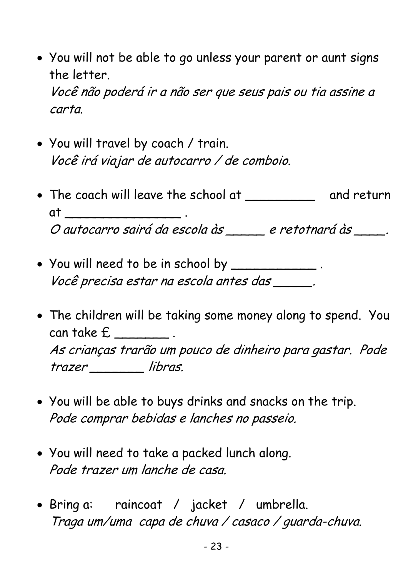- You will not be able to go unless your parent or aunt signs the letter. Você não poderá ir a não ser que seus pais ou tia assine a carta.
- You will travel by coach / train. Você irá viajar de autocarro / de comboio.
- The coach will leave the school at \_\_\_\_\_\_\_\_\_\_\_\_\_\_ and return at \_\_\_\_\_\_\_\_\_\_\_\_\_\_\_\_\_\_\_ . O autocarro sairá da escola às \_\_\_\_\_ e retotnará às \_\_\_\_\_.
- You will need to be in school by \_\_\_\_\_\_\_\_\_\_\_ . Você precisa estar na escola antes das \_\_\_\_\_.
- The children will be taking some money along to spend. You can take £ \_\_\_\_\_\_\_ . As crianças trarão um pouco de dinheiro para gastar. Pode trazer \_\_\_\_\_\_\_ libras.
- You will be able to buys drinks and snacks on the trip. Pode comprar bebidas e lanches no passeio.
- You will need to take a packed lunch along. Pode trazer um lanche de casa.
- Bring a: raincoat / jacket / umbrella. Traga um/uma capa de chuva / casaco / guarda-chuva.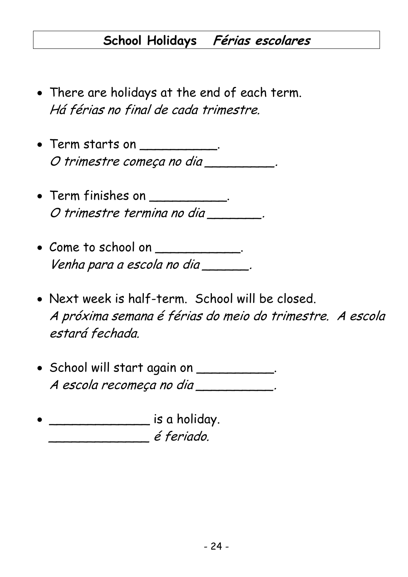#### **School Holidays Férias escolares**

- There are holidays at the end of each term. Há férias no final de cada trimestre.
- Term starts on \_\_\_\_\_\_\_\_\_\_\_. O trimestre começa no dia \_\_\_\_\_\_\_\_\_.
- Term finishes on \_\_\_\_\_\_\_\_\_\_. O trimestre termina no dia \_\_\_\_\_\_\_\_.
- Come to school on \_\_\_\_\_\_\_\_\_\_. Venha para a escola no dia \_\_\_\_\_\_\_.
- Next week is half-term. School will be closed. A próxima semana é férias do meio do trimestre. A escola estará fechada.
- School will start again on \_\_\_\_\_\_\_\_\_\_. A escola recomeça no dia \_\_\_\_\_\_\_\_\_\_\_.
- \_\_\_\_\_\_\_\_\_\_\_\_\_ is a holiday. \_\_\_\_\_\_\_\_\_\_\_\_\_ é feriado.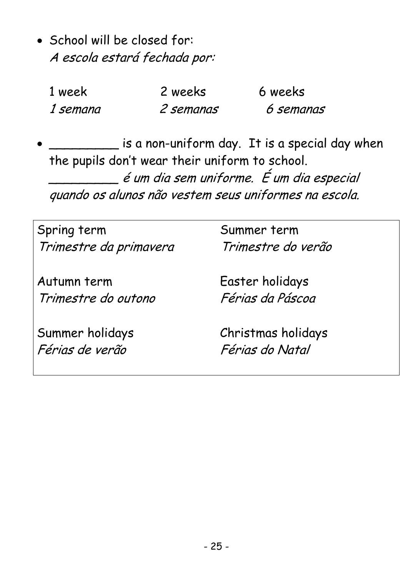• School will be closed for: A escola estará fechada por:

| 1 week   | 2 weeks   | 6 weeks   |
|----------|-----------|-----------|
| 1 semana | 2 semanas | 6 semanas |

 $\frac{1}{\sqrt{1-\mu}}$  is a non-uniform day. It is a special day when the pupils don't wear their uniform to school. \_\_\_\_\_\_\_\_\_ é um dia sem uniforme. É um dia especial quando os alunos não vestem seus uniformes na escola.

| Spring term                        | Summer term                           |
|------------------------------------|---------------------------------------|
| Trimestre da primavera             | Trimestre do verão                    |
| Autumn term                        | Easter holidays                       |
| Trimestre do outono                | Férias da Páscoa                      |
| Summer holidays<br>Férias de verão | Christmas holidays<br>Férias do Natal |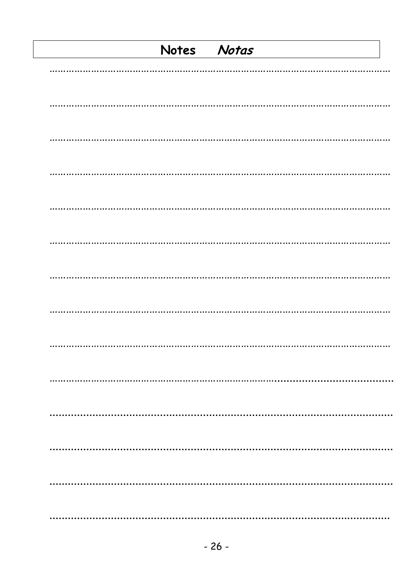| Notes Notas |  |
|-------------|--|
|             |  |
|             |  |
|             |  |
|             |  |
|             |  |
|             |  |
|             |  |
|             |  |
|             |  |
|             |  |
| .           |  |
|             |  |
|             |  |
|             |  |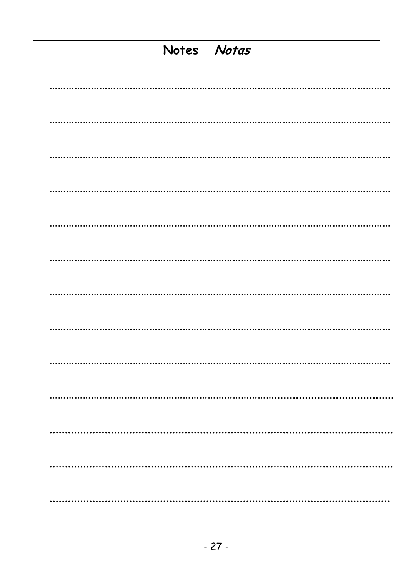#### Notes Notas